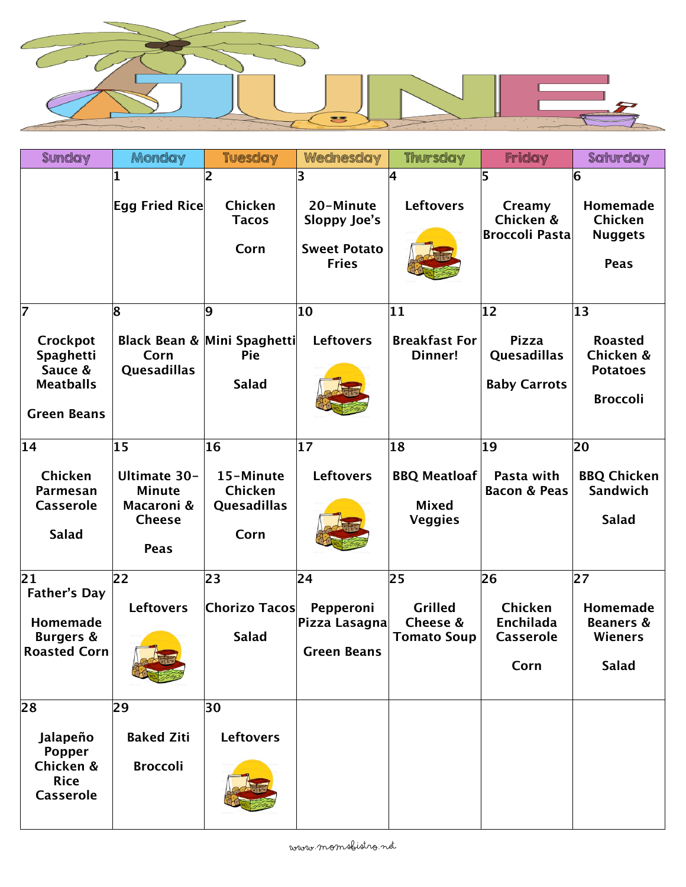

| Sunday                                                                                  | Monday                                                                                   | <b>Tuesday</b>                                          | Wednesday                                                             | <b>Thursday</b>                                             | Friday                                                             | Saturday                                                                          |
|-----------------------------------------------------------------------------------------|------------------------------------------------------------------------------------------|---------------------------------------------------------|-----------------------------------------------------------------------|-------------------------------------------------------------|--------------------------------------------------------------------|-----------------------------------------------------------------------------------|
|                                                                                         | 1<br>Egg Fried Rice                                                                      | 2<br>Chicken<br><b>Tacos</b><br>Corn                    | 3<br>20-Minute<br>Sloppy Joe's<br><b>Sweet Potato</b><br><b>Fries</b> | 4<br><b>Leftovers</b>                                       | 15<br>Creamy<br>Chicken &<br><b>Broccoli Pasta</b>                 | 6<br>Homemade<br>Chicken<br><b>Nuggets</b><br><b>Peas</b>                         |
| 17<br>Crockpot<br><b>Spaghetti</b><br>Sauce &<br><b>Meatballs</b><br><b>Green Beans</b> | 8<br>Corn<br>Quesadillas                                                                 | 9<br>Black Bean & Mini Spaghetti<br>Pie<br><b>Salad</b> | 10<br><b>Leftovers</b>                                                | 11<br><b>Breakfast For</b><br>Dinner!                       | $ 12\rangle$<br><b>Pizza</b><br>Quesadillas<br><b>Baby Carrots</b> | $ 13\rangle$<br><b>Roasted</b><br>Chicken &<br><b>Potatoes</b><br><b>Broccoli</b> |
| 14<br>Chicken<br>Parmesan<br><b>Casserole</b><br><b>Salad</b>                           | 15<br><b>Ultimate 30-</b><br><b>Minute</b><br>Macaroni &<br><b>Cheese</b><br><b>Peas</b> | 16<br>15-Minute<br>Chicken<br>Quesadillas<br>Corn       | $ 17\rangle$<br><b>Leftovers</b>                                      | 18<br><b>BBQ Meatloaf</b><br><b>Mixed</b><br><b>Veggies</b> | 19<br>Pasta with<br><b>Bacon &amp; Peas</b>                        | 20<br><b>BBQ Chicken</b><br>Sandwich<br><b>Salad</b>                              |
| 21<br><b>Father's Day</b><br>Homemade<br><b>Burgers &amp;</b><br><b>Roasted Corn</b>    | 22<br><b>Leftovers</b>                                                                   | 23<br>Chorizo Tacos<br><b>Salad</b>                     | 24<br>Pepperoni<br>Pizza Lasagna<br><b>Green Beans</b>                | 25<br><b>Grilled</b><br>Cheese &<br><b>Tomato Soup</b>      | 26<br>Chicken<br>Enchilada<br><b>Casserole</b><br>Corn             | 27<br>Homemade<br><b>Beaners &amp;</b><br><b>Wieners</b><br><b>Salad</b>          |
| 28<br>Jalapeño<br>Popper<br>Chicken &<br><b>Rice</b><br><b>Casserole</b>                | 29<br><b>Baked Ziti</b><br><b>Broccoli</b>                                               | 30<br><b>Leftovers</b>                                  |                                                                       |                                                             |                                                                    |                                                                                   |